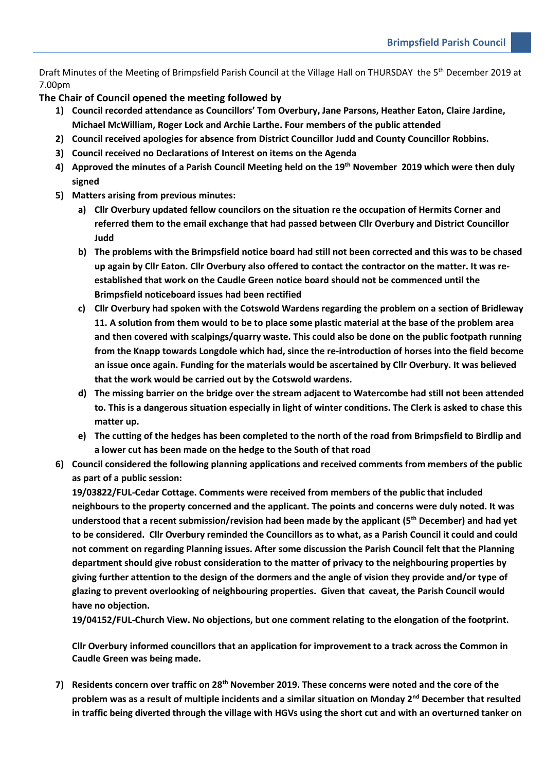Draft Minutes of the Meeting of Brimpsfield Parish Council at the Village Hall on THURSDAY the 5<sup>th</sup> December 2019 at 7.00pm

**The Chair of Council opened the meeting followed by**

- **1) Council recorded attendance as Councillors' Tom Overbury, Jane Parsons, Heather Eaton, Claire Jardine, Michael McWilliam, Roger Lock and Archie Larthe. Four members of the public attended**
- **2) Council received apologies for absence from District Councillor Judd and County Councillor Robbins.**
- **3) Council received no Declarations of Interest on items on the Agenda**
- **4) Approved the minutes of a Parish Council Meeting held on the 19th November 2019 which were then duly signed**
- **5) Matters arising from previous minutes:**
	- **a) Cllr Overbury updated fellow councilors on the situation re the occupation of Hermits Corner and referred them to the email exchange that had passed between Cllr Overbury and District Councillor Judd**
	- **b) The problems with the Brimpsfield notice board had still not been corrected and this was to be chased up again by Cllr Eaton. Cllr Overbury also offered to contact the contractor on the matter. It was reestablished that work on the Caudle Green notice board should not be commenced until the Brimpsfield noticeboard issues had been rectified**
	- **c) Cllr Overbury had spoken with the Cotswold Wardens regarding the problem on a section of Bridleway 11. A solution from them would to be to place some plastic material at the base of the problem area and then covered with scalpings/quarry waste. This could also be done on the public footpath running from the Knapp towards Longdole which had, since the re-introduction of horses into the field become an issue once again. Funding for the materials would be ascertained by Cllr Overbury. It was believed that the work would be carried out by the Cotswold wardens.**
	- **d) The missing barrier on the bridge over the stream adjacent to Watercombe had still not been attended to. This is a dangerous situation especially in light of winter conditions. The Clerk is asked to chase this matter up.**
	- **e) The cutting of the hedges has been completed to the north of the road from Brimpsfield to Birdlip and a lower cut has been made on the hedge to the South of that road**
- **6) Council considered the following planning applications and received comments from members of the public as part of a public session:**

**19/03822/FUL-Cedar Cottage. Comments were received from members of the public that included neighbours to the property concerned and the applicant. The points and concerns were duly noted. It was understood that a recent submission/revision had been made by the applicant (5th December) and had yet to be considered. Cllr Overbury reminded the Councillors as to what, as a Parish Council it could and could not comment on regarding Planning issues. After some discussion the Parish Council felt that the Planning department should give robust consideration to the matter of privacy to the neighbouring properties by giving further attention to the design of the dormers and the angle of vision they provide and/or type of glazing to prevent overlooking of neighbouring properties. Given that caveat, the Parish Council would have no objection.** 

**19/04152/FUL-Church View. No objections, but one comment relating to the elongation of the footprint.**

**Cllr Overbury informed councillors that an application for improvement to a track across the Common in Caudle Green was being made.**

**7) Residents concern over traffic on 28th November 2019. These concerns were noted and the core of the problem was as a result of multiple incidents and a similar situation on Monday 2nd December that resulted in traffic being diverted through the village with HGVs using the short cut and with an overturned tanker on**